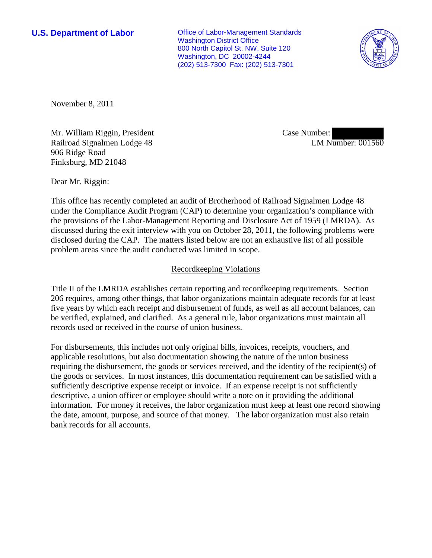**U.S. Department of Labor Conservative Conservative Conservative Conservative Conservative Conservative Conservative Conservative Conservative Conservative Conservative Conservative Conservative Conservative Conservative** Washington District Office 800 North Capitol St. NW, Suite 120 Washington, DC 20002-4244 (202) 513-7300 Fax: (202) 513-7301



November 8, 2011

Mr. William Riggin, President Railroad Signalmen Lodge 48 906 Ridge Road Finksburg, MD 21048

Case Number: LM Number: 001560

Dear Mr. Riggin:

This office has recently completed an audit of Brotherhood of Railroad Signalmen Lodge 48 under the Compliance Audit Program (CAP) to determine your organization's compliance with the provisions of the Labor-Management Reporting and Disclosure Act of 1959 (LMRDA). As discussed during the exit interview with you on October 28, 2011, the following problems were disclosed during the CAP. The matters listed below are not an exhaustive list of all possible problem areas since the audit conducted was limited in scope.

## Recordkeeping Violations

Title II of the LMRDA establishes certain reporting and recordkeeping requirements. Section 206 requires, among other things, that labor organizations maintain adequate records for at least five years by which each receipt and disbursement of funds, as well as all account balances, can be verified, explained, and clarified. As a general rule, labor organizations must maintain all records used or received in the course of union business.

For disbursements, this includes not only original bills, invoices, receipts, vouchers, and applicable resolutions, but also documentation showing the nature of the union business requiring the disbursement, the goods or services received, and the identity of the recipient(s) of the goods or services. In most instances, this documentation requirement can be satisfied with a sufficiently descriptive expense receipt or invoice. If an expense receipt is not sufficiently descriptive, a union officer or employee should write a note on it providing the additional information. For money it receives, the labor organization must keep at least one record showing the date, amount, purpose, and source of that money. The labor organization must also retain bank records for all accounts.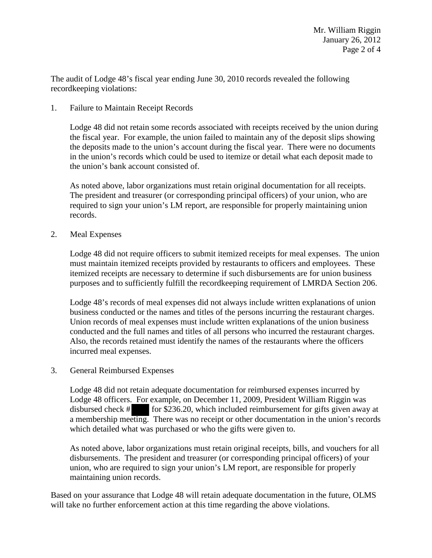The audit of Lodge 48's fiscal year ending June 30, 2010 records revealed the following recordkeeping violations:

1. Failure to Maintain Receipt Records

Lodge 48 did not retain some records associated with receipts received by the union during the fiscal year. For example, the union failed to maintain any of the deposit slips showing the deposits made to the union's account during the fiscal year. There were no documents in the union's records which could be used to itemize or detail what each deposit made to the union's bank account consisted of.

As noted above, labor organizations must retain original documentation for all receipts. The president and treasurer (or corresponding principal officers) of your union, who are required to sign your union's LM report, are responsible for properly maintaining union records.

2. Meal Expenses

Lodge 48 did not require officers to submit itemized receipts for meal expenses. The union must maintain itemized receipts provided by restaurants to officers and employees. These itemized receipts are necessary to determine if such disbursements are for union business purposes and to sufficiently fulfill the recordkeeping requirement of LMRDA Section 206.

Lodge 48's records of meal expenses did not always include written explanations of union business conducted or the names and titles of the persons incurring the restaurant charges. Union records of meal expenses must include written explanations of the union business conducted and the full names and titles of all persons who incurred the restaurant charges. Also, the records retained must identify the names of the restaurants where the officers incurred meal expenses.

3. General Reimbursed Expenses

Lodge 48 did not retain adequate documentation for reimbursed expenses incurred by Lodge 48 officers. For example, on December 11, 2009, President William Riggin was disbursed check # for \$236.20, which included reimbursement for gifts given away at a membership meeting. There was no receipt or other documentation in the union's records which detailed what was purchased or who the gifts were given to.

As noted above, labor organizations must retain original receipts, bills, and vouchers for all disbursements. The president and treasurer (or corresponding principal officers) of your union, who are required to sign your union's LM report, are responsible for properly maintaining union records.

Based on your assurance that Lodge 48 will retain adequate documentation in the future, OLMS will take no further enforcement action at this time regarding the above violations.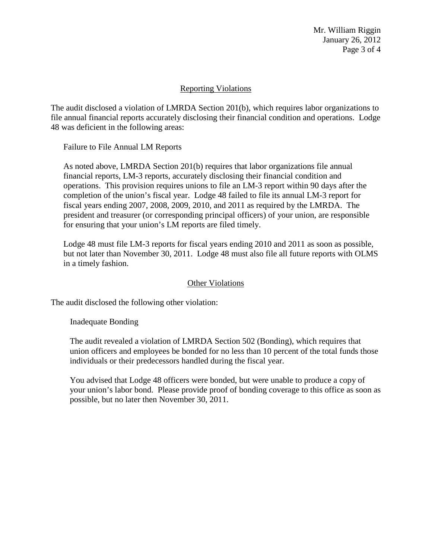Mr. William Riggin January 26, 2012 Page 3 of 4

## Reporting Violations

The audit disclosed a violation of LMRDA Section 201(b), which requires labor organizations to file annual financial reports accurately disclosing their financial condition and operations. Lodge 48 was deficient in the following areas:

Failure to File Annual LM Reports

As noted above, LMRDA Section 201(b) requires that labor organizations file annual financial reports, LM-3 reports, accurately disclosing their financial condition and operations. This provision requires unions to file an LM-3 report within 90 days after the completion of the union's fiscal year. Lodge 48 failed to file its annual LM-3 report for fiscal years ending 2007, 2008, 2009, 2010, and 2011 as required by the LMRDA. The president and treasurer (or corresponding principal officers) of your union, are responsible for ensuring that your union's LM reports are filed timely.

Lodge 48 must file LM-3 reports for fiscal years ending 2010 and 2011 as soon as possible, but not later than November 30, 2011. Lodge 48 must also file all future reports with OLMS in a timely fashion.

## Other Violations

The audit disclosed the following other violation:

Inadequate Bonding

The audit revealed a violation of LMRDA Section 502 (Bonding), which requires that union officers and employees be bonded for no less than 10 percent of the total funds those individuals or their predecessors handled during the fiscal year.

You advised that Lodge 48 officers were bonded, but were unable to produce a copy of your union's labor bond. Please provide proof of bonding coverage to this office as soon as possible, but no later then November 30, 2011.